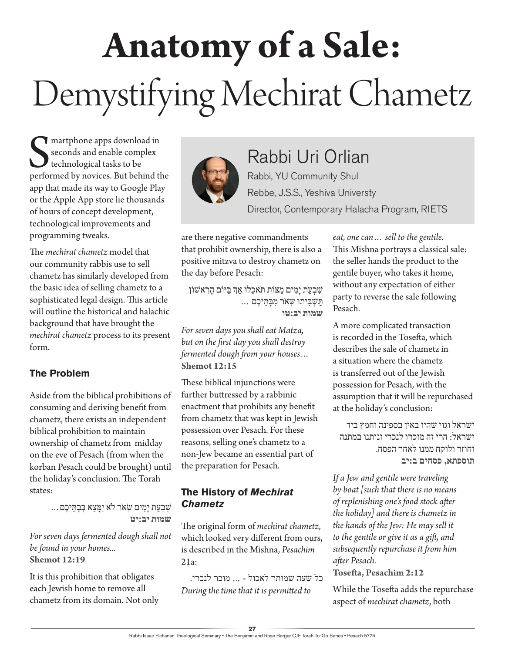# **Anatomy of a Sale:**  Demystifying Mechirat Chametz

Superior apps download in<br>
seconds and enable complex<br>
technological tasks to be<br>
performed by novices. But behind the martphone apps download in seconds and enable complex technological tasks to be app that made its way to Google Play or the Apple App store lie thousands of hours of concept development, technological improvements and programming tweaks.

The *mechirat chametz* model that our community rabbis use to sell chametz has similarly developed from the basic idea of selling chametz to a sophisticated legal design. This article will outline the historical and halachic background that have brought the *mechirat chametz* process to its present form.

#### **The Problem**

Aside from the biblical prohibitions of consuming and deriving benefit from chametz, there exists an independent biblical prohibition to maintain ownership of chametz from midday on the eve of Pesach (from when the korban Pesach could be brought) until the holiday's conclusion. The Torah states:

> ׁשִבְעַת יָמִים ׂשְא ֹר ֹלא יִּמָצֵא ּבְבָּתֵיכֶם... **שמות יב:יט**

*For seven days fermented dough shall not be found in your homes...* **Shemot 12:19**

It is this prohibition that obligates each Jewish home to remove all chametz from its domain. Not only



### Rabbi Uri Orlian

Rabbi, YU Community Shul Rebbe, J.S.S., Yeshiva Universty Director, Contemporary Halacha Program, RIETS

are there negative commandments that prohibit ownership, there is also a positive mitzva to destroy chametz on the day before Pesach:

ׁשִבְעַת יָמִים מַּצֹות ּת ֹאכֵלּו אְַך ּבַּיֹום הָרִ אׁשֹון ּתַׁשְּבִיתּו ּשְׂא ֹר מִּבָּתֵיכֶם ... **שמות יב:טו**

*For seven days you shall eat Matza, but on the first day you shall destroy fermented dough from your houses…* **Shemot 12:15**

These biblical injunctions were further buttressed by a rabbinic enactment that prohibits any benefit from chametz that was kept in Jewish possession over Pesach. For these reasons, selling one's chametz to a non-Jew became an essential part of the preparation for Pesach.

#### **The History of** *Mechirat Chametz*

The original form of *mechirat chametz*, which looked very different from ours, is described in the Mishna, *Pesachim* 21a:

 כל שעה שמותר לאכול - ... מוכר לנכרי. *During the time that it is permitted to* 

*eat, one can… sell to the gentile.*  This Mishna portrays a classical sale: the seller hands the product to the gentile buyer, who takes it home, without any expectation of either party to reverse the sale following Pesach.

A more complicated transaction is recorded in the Tosefta, which describes the sale of chametz in a situation where the chametz is transferred out of the Jewish possession for Pesach, with the assumption that it will be repurchased at the holiday's conclusion:

ישראל וגוי שהיו באין בספינה וחמץ ביד ישראל: הרי זה מוכרו לנכרי ונותנו במתנה וחוזר ולוקח ממנו לאחר הפסח. **תוספתא, פסחים ב:יב**

*If a Jew and gentile were traveling by boat [such that there is no means of replenishing one's food stock after the holiday] and there is chametz in the hands of the Jew: He may sell it to the gentile or give it as a gift, and subsequently repurchase it from him after Pesach.*

**Tosefta, Pesachim 2:12**

While the Tosefta adds the repurchase aspect of *mechirat chametz*, both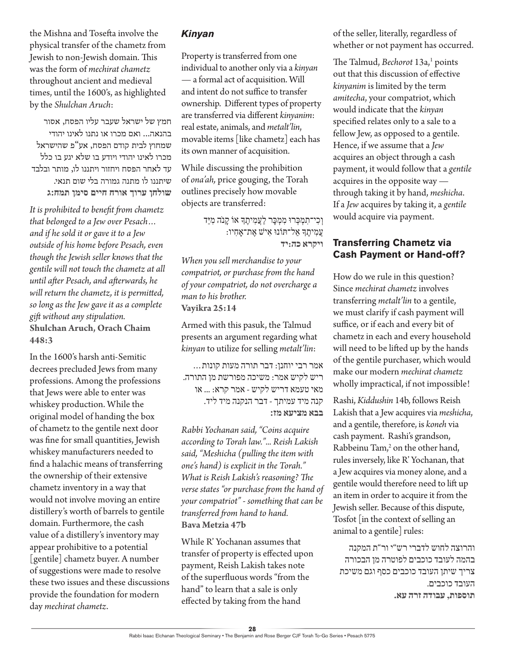the Mishna and Tosefta involve the physical transfer of the chametz from Jewish to non-Jewish domain. This was the form of *mechirat chametz* throughout ancient and medieval times, until the 1600's, as highlighted by the *Shulchan Aruch*:

חמץ של ישראל שעבר עליו הפסח, אסור בהנאה... ואם מכרו או נתנו לאינו יהודי שמחוץ לבית קודם הפסח, אע"פ שהישראל מכרו לאינו יהודי ויודע בו שלא יגע בו כלל עד לאחר הפסח ויחזור ויתננו לו, מותר ובלבד שיתננו לו מתנה גמורה בלי שום תנאי. **שולחן ערוך אורח חיים סימן תמח:ג**

*It is prohibited to benefit from chametz that belonged to a Jew over Pesach… and if he sold it or gave it to a Jew outside of his home before Pesach, even though the Jewish seller knows that the gentile will not touch the chametz at all until after Pesach, and afterwards, he will return the chametz, it is permitted, so long as the Jew gave it as a complete gift without any stipulation.* **Shulchan Aruch, Orach Chaim 448:3**

In the 1600's harsh anti-Semitic decrees precluded Jews from many professions. Among the professions that Jews were able to enter was whiskey production. While the original model of handing the box of chametz to the gentile next door was fine for small quantities, Jewish whiskey manufacturers needed to find a halachic means of transferring the ownership of their extensive chametz inventory in a way that would not involve moving an entire distillery's worth of barrels to gentile domain. Furthermore, the cash value of a distillery's inventory may appear prohibitive to a potential [gentile] chametz buyer. A number of suggestions were made to resolve these two issues and these discussions provide the foundation for modern day *mechirat chametz*.

#### *Kinyan*

Property is transferred from one individual to another only via a *kinyan —* a formal act of acquisition. Will and intent do not suffice to transfer ownership. Different types of property are transferred via different *kinyanim*: real estate, animals, and *metalt'lin*, movable items [like chametz] each has its own manner of acquisition.

While discussing the prohibition of *ona'ah,* price gouging, the Torah outlines precisely how movable objects are transferred:

> וְכִי־תִמְּכְרוּ מִמְּכָּר לַעֲמִיתֶךָ אוֹ קָנֹה מִיַּד עֲמִיתֶָך ַאל־ּתֹונּו אִיׁש אֶת־ָאחִיו: **ויקרא כה:יד**

*When you sell merchandise to your compatriot, or purchase from the hand of your compatriot, do not overcharge a man to his brother.* **Vayikra 25:14**

Armed with this pasuk, the Talmud presents an argument regarding what *kinyan* to utilize for selling *metalt'lin*:

אמר רבי יוחנן: דבר תורה מעות קונות... ריש לקיש אמר: משיכה מפורשת מן התורה. מאי טעמא דריש לקיש - אמר קרא: ... או קנה מיד עמיתך - דבר הנקנה מיד ליד. **בבא מציעא מז:**

*Rabbi Yochanan said, "Coins acquire according to Torah law."... Reish Lakish said, "Meshicha (pulling the item with one's hand) is explicit in the Torah." What is Reish Lakish's reasoning? The verse states "or purchase from the hand of your compatriot" - something that can be transferred from hand to hand.* **Bava Metzia 47b**

While R' Yochanan assumes that transfer of property is effected upon payment, Reish Lakish takes note of the superfluous words "from the hand" to learn that a sale is only effected by taking from the hand

of the seller, literally, regardless of whether or not payment has occurred.

The Talmud, *Bechorot* 13a,<sup>1</sup> points out that this discussion of effective *kinyanim* is limited by the term *amitecha*, your compatriot, which would indicate that the *kinyan* specified relates only to a sale to a fellow Jew, as opposed to a gentile. Hence, if we assume that a *Jew* acquires an object through a cash payment, it would follow that a *gentile* acquires in the opposite way through taking it by hand, *meshicha*. If a *Jew* acquires by taking it, a *gentile* would acquire via payment.

#### **Transferring Chametz via Cash Payment or Hand-off?**

How do we rule in this question? Since *mechirat chametz* involves transferring *metalt'lin* to a gentile, we must clarify if cash payment will suffice, or if each and every bit of chametz in each and every household will need to be lifted up by the hands of the gentile purchaser, which would make our modern *mechirat chametz* wholly impractical, if not impossible!

Rashi, *Kiddushin* 14b, follows Reish Lakish that a Jew acquires via *meshicha*, and a gentile, therefore, is *koneh* via cash payment. Rashi's grandson, Rabbeinu Tam,<sup>2</sup> on the other hand, rules inversely, like R' Yochanan, that a Jew acquires via money alone, and a gentile would therefore need to lift up an item in order to acquire it from the Jewish seller. Because of this dispute, Tosfot [in the context of selling an animal to a gentile] rules:

והרוצה לחוש לדברי רש"י ור"ת המקנה בהמה לעובד כוכבים לפוטרה מן הבכורה צריך שיתן העובד כוכבים כסף וגם משיכת העובד כוכבים. **תוספות, עבודה זרה עא.**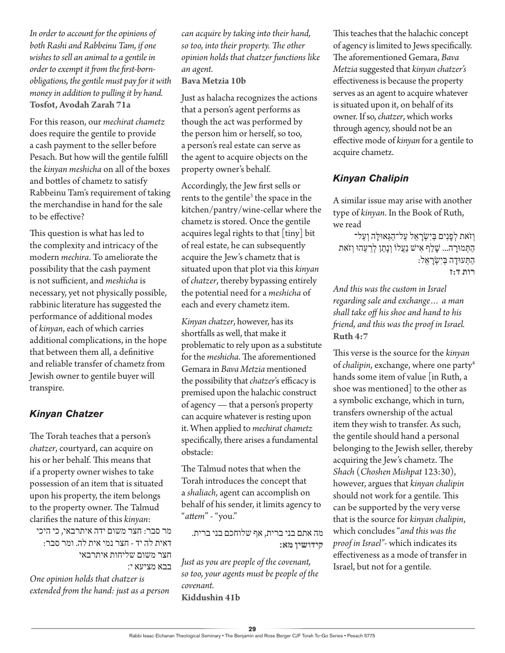*In order to account for the opinions of both Rashi and Rabbeinu Tam, if one wishes to sell an animal to a gentile in order to exempt it from the first-bornobligations, the gentile must pay for it with money in addition to pulling it by hand.* **Tosfot, Avodah Zarah 71a**

For this reason, our *mechirat chametz* does require the gentile to provide a cash payment to the seller before Pesach. But how will the gentile fulfill the *kinyan meshicha* on all of the boxes and bottles of chametz to satisfy Rabbeinu Tam's requirement of taking the merchandise in hand for the sale to be effective?

This question is what has led to the complexity and intricacy of the modern *mechira*. To ameliorate the possibility that the cash payment is not sufficient, and *meshicha* is necessary, yet not physically possible, rabbinic literature has suggested the performance of additional modes of *kinyan*, each of which carries additional complications, in the hope that between them all, a definitive and reliable transfer of chametz from Jewish owner to gentile buyer will transpire.

#### *Kinyan Chatzer*

The Torah teaches that a person's *chatzer*, courtyard, can acquire on his or her behalf. This means that if a property owner wishes to take possession of an item that is situated upon his property, the item belongs to the property owner. The Talmud clarifies the nature of this *kinyan*:

מר סבר: חצר משום ידה איתרבאי, כי היכי דאית לה יד - חצר נמי אית לה. ומר סבר: חצר משום שליחות איתרבאי בבא מציעא י:

*One opinion holds that chatzer is extended from the hand: just as a person*  *can acquire by taking into their hand, so too, into their property. The other opinion holds that chatzer functions like an agent.*

#### **Bava Metzia 10b**

Just as halacha recognizes the actions that a person's agent performs as though the act was performed by the person him or herself, so too, a person's real estate can serve as the agent to acquire objects on the property owner's behalf.

Accordingly, the Jew first sells or rents to the gentile<sup>3</sup> the space in the kitchen/pantry/wine-cellar where the chametz is stored. Once the gentile acquires legal rights to that [tiny] bit of real estate, he can subsequently acquire the Jew's chametz that is situated upon that plot via this *kinyan*  of *chatzer*, thereby bypassing entirely the potential need for a *meshicha* of each and every chametz item.

*Kinyan chatzer*, however, has its shortfalls as well, that make it problematic to rely upon as a substitute for the *meshicha*. The aforementioned Gemara in *Bava Metzia* mentioned the possibility that *chatzer*'s efficacy is premised upon the halachic construct of agency — that a person's property can acquire whatever is resting upon it. When applied to *mechirat chametz* specifically, there arises a fundamental obstacle:

The Talmud notes that when the Torah introduces the concept that a *shaliach*, agent can accomplish on behalf of his sender, it limits agency to "*attem*" - "you."

מה אתם בני ברית, אף שלוחכם בני ברית. **קידושין מא:**

*Just as you are people of the covenant, so too, your agents must be people of the covenant.* **Kiddushin 41b**

This teaches that the halachic concept of agency is limited to Jews specifically. The aforementioned Gemara, *Bava Metzia* suggested that *kinyan chatzer's* effectiveness is because the property serves as an agent to acquire whatever is situated upon it, on behalf of its owner. If so, *chatzer*, which works through agency, should not be an effective mode of *kinyan* for a gentile to acquire chametz.

#### *Kinyan Chalipin*

A similar issue may arise with another type of *kinyan*. In the Book of Ruth, we read

וְזֹאת לְפִנִים בְּיִשָׂראַל עַל־הַגְּאוּלָה וְעַל־ הַּתְמּורָ ה... ׁשָלַף אִיׁש נַעֲלֹו וְנָתַן לְרֵ עֵהּו וְז ֹאת הַּתְעּודָה ּבְיִׂשְרָ אֵל: **רות ד:ז**

*And this was the custom in Israel regarding sale and exchange… a man shall take off his shoe and hand to his friend, and this was the proof in Israel.* **Ruth 4:7**

This verse is the source for the *kinyan*  of *chalipin*, exchange, where one party<sup>4</sup> hands some item of value [in Ruth, a shoe was mentioned] to the other as a symbolic exchange, which in turn, transfers ownership of the actual item they wish to transfer. As such, the gentile should hand a personal belonging to the Jewish seller, thereby acquiring the Jew's chametz. The *Shach* (*Choshen Mishpat* 123:30), however, argues that *kinyan chalipin* should not work for a gentile. This can be supported by the very verse that is the source for *kinyan chalipin*, which concludes "*and this was the proof in Israel"-* which indicates its effectiveness as a mode of transfer in Israel, but not for a gentile.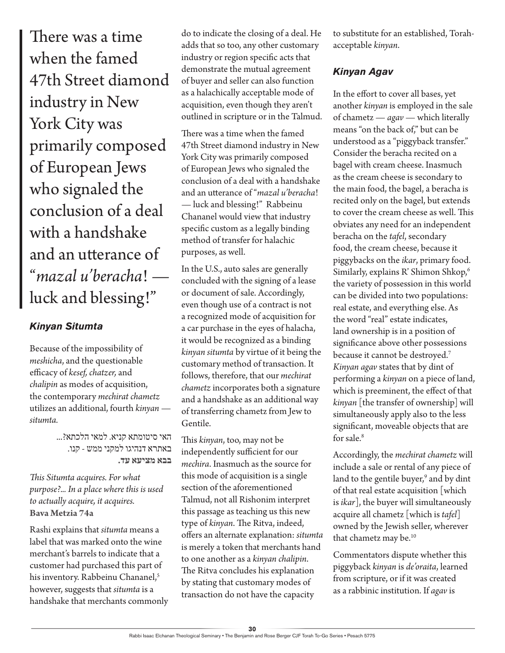There was a time when the famed 47th Street diamond industry in New York City was primarily composed of European Jews who signaled the conclusion of a deal with a handshake and an utterance of "*mazal u'beracha*! luck and blessing!"

#### *Kinyan Situmta*

Because of the impossibility of *meshicha*, and the questionable efficacy of *kesef, chatzer,* and *chalipin* as modes of acquisition, the contemporary *mechirat chametz* utilizes an additional, fourth *kinyan situmta.*

> האי סיטומתא קניא. למאי הלכתא?... באתרא דנהיגו למקני ממש - קנו. **בבא מציעא עד.**

*This Situmta acquires. For what purpose?... In a place where this is used to actually acquire, it acquires.* **Bava Metzia 74a**

Rashi explains that *situmta* means a label that was marked onto the wine merchant's barrels to indicate that a customer had purchased this part of his inventory. Rabbeinu Chananel,<sup>5</sup> however, suggests that *situmta* is a handshake that merchants commonly do to indicate the closing of a deal. He adds that so too, any other customary industry or region specific acts that demonstrate the mutual agreement of buyer and seller can also function as a halachically acceptable mode of acquisition, even though they aren't outlined in scripture or in the Talmud.

There was a time when the famed 47th Street diamond industry in New York City was primarily composed of European Jews who signaled the conclusion of a deal with a handshake and an utterance of "*mazal u'beracha*! — luck and blessing!" Rabbeinu Chananel would view that industry specific custom as a legally binding method of transfer for halachic purposes, as well.

In the U.S., auto sales are generally concluded with the signing of a lease or document of sale. Accordingly, even though use of a contract is not a recognized mode of acquisition for a car purchase in the eyes of halacha, it would be recognized as a binding *kinyan situmta* by virtue of it being the customary method of transaction. It follows, therefore, that our *mechirat chametz* incorporates both a signature and a handshake as an additional way of transferring chametz from Jew to Gentile.

This *kinyan*, too, may not be independently sufficient for our *mechira*. Inasmuch as the source for this mode of acquisition is a single section of the aforementioned Talmud, not all Rishonim interpret this passage as teaching us this new type of *kinyan*. The Ritva, indeed, offers an alternate explanation: *situmta* is merely a token that merchants hand to one another as a *kinyan chalipin*. The Ritva concludes his explanation by stating that customary modes of transaction do not have the capacity

to substitute for an established, Torahacceptable *kinyan*.

#### *Kinyan Agav*

In the effort to cover all bases, yet another *kinyan* is employed in the sale of chametz — *agav —* which literally means "on the back of," but can be understood as a "piggyback transfer." Consider the beracha recited on a bagel with cream cheese. Inasmuch as the cream cheese is secondary to the main food, the bagel, a beracha is recited only on the bagel, but extends to cover the cream cheese as well. This obviates any need for an independent beracha on the *tafel*, secondary food, the cream cheese, because it piggybacks on the *ikar*, primary food. Similarly, explains R' Shimon Shkop,6 the variety of possession in this world can be divided into two populations: real estate, and everything else. As the word "real" estate indicates, land ownership is in a position of significance above other possessions because it cannot be destroyed.7 *Kinyan agav* states that by dint of performing a *kinyan* on a piece of land, which is preeminent, the effect of that *kinyan* [the transfer of ownership] will simultaneously apply also to the less significant, moveable objects that are for sale.8

Accordingly, the *mechirat chametz* will include a sale or rental of any piece of land to the gentile buyer,<sup>9</sup> and by dint of that real estate acquisition [which is *ikar*], the buyer will simultaneously acquire all chametz [which is *tafel*] owned by the Jewish seller, wherever that chametz may be.<sup>10</sup>

Commentators dispute whether this piggyback *kinyan* is *de'oraita*, learned from scripture, or if it was created as a rabbinic institution. If *agav* is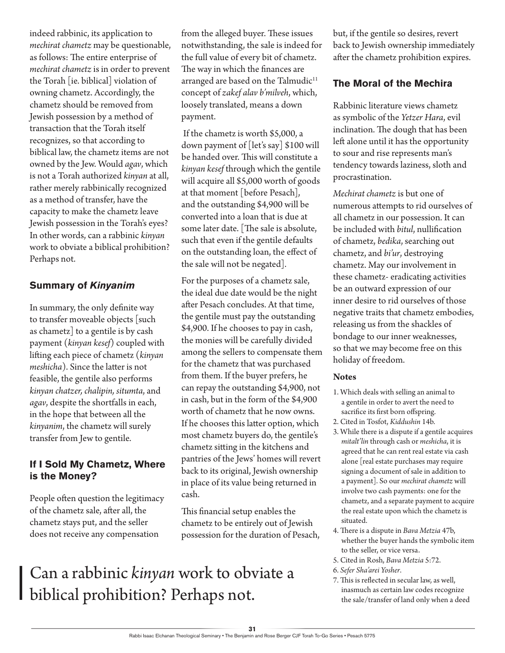indeed rabbinic, its application to *mechirat chametz* may be questionable, as follows: The entire enterprise of *mechirat chametz* is in order to prevent the Torah [ie. biblical] violation of owning chametz. Accordingly, the chametz should be removed from Jewish possession by a method of transaction that the Torah itself recognizes, so that according to biblical law, the chametz items are not owned by the Jew. Would *agav*, which is not a Torah authorized *kinyan* at all, rather merely rabbinically recognized as a method of transfer, have the capacity to make the chametz leave Jewish possession in the Torah's eyes? In other words, can a rabbinic *kinyan*  work to obviate a biblical prohibition? Perhaps not.

#### **Summary of** *Kinyanim*

In summary, the only definite way to transfer moveable objects [such as chametz] to a gentile is by cash payment (*kinyan kesef*) coupled with lifting each piece of chametz (*kinyan meshicha*). Since the latter is not feasible, the gentile also performs *kinyan chatzer, chalipin, situmta*, and *agav*, despite the shortfalls in each, in the hope that between all the *kinyanim*, the chametz will surely transfer from Jew to gentile.

#### **If I Sold My Chametz, Where is the Money?**

People often question the legitimacy of the chametz sale, after all, the chametz stays put, and the seller does not receive any compensation

from the alleged buyer. These issues notwithstanding, the sale is indeed for the full value of every bit of chametz. The way in which the finances are arranged are based on the Talmudic<sup>11</sup> concept of *zakef alav b'milveh*, which, loosely translated, means a down payment.

 If the chametz is worth \$5,000, a down payment of [let's say] \$100 will be handed over. This will constitute a *kinyan kesef* through which the gentile will acquire all \$5,000 worth of goods at that moment [before Pesach], and the outstanding \$4,900 will be converted into a loan that is due at some later date. [The sale is absolute, such that even if the gentile defaults on the outstanding loan, the effect of the sale will not be negated].

For the purposes of a chametz sale, the ideal due date would be the night after Pesach concludes. At that time, the gentile must pay the outstanding \$4,900. If he chooses to pay in cash, the monies will be carefully divided among the sellers to compensate them for the chametz that was purchased from them. If the buyer prefers, he can repay the outstanding \$4,900, not in cash, but in the form of the \$4,900 worth of chametz that he now owns. If he chooses this latter option, which most chametz buyers do, the gentile's chametz sitting in the kitchens and pantries of the Jews' homes will revert back to its original, Jewish ownership in place of its value being returned in cash.

This financial setup enables the chametz to be entirely out of Jewish possession for the duration of Pesach,

## Can a rabbinic *kinyan* work to obviate a biblical prohibition? Perhaps not.

but, if the gentile so desires, revert back to Jewish ownership immediately after the chametz prohibition expires.

#### **The Moral of the Mechira**

Rabbinic literature views chametz as symbolic of the *Yetzer Hara*, evil inclination. The dough that has been left alone until it has the opportunity to sour and rise represents man's tendency towards laziness, sloth and procrastination.

*Mechirat chametz* is but one of numerous attempts to rid ourselves of all chametz in our possession. It can be included with *bitul*, nullification of chametz, *bedika*, searching out chametz, and *bi'ur*, destroying chametz. May our involvement in these chametz- eradicating activities be an outward expression of our inner desire to rid ourselves of those negative traits that chametz embodies, releasing us from the shackles of bondage to our inner weaknesses, so that we may become free on this holiday of freedom.

#### **Notes**

- 1. Which deals with selling an animal to a gentile in order to avert the need to sacrifice its first born offspring.
- 2. Cited in Tosfot, *Kiddushin* 14b.
- 3. While there is a dispute if a gentile acquires *mitalt'lin* through cash or *meshicha*, it is agreed that he can rent real estate via cash alone [real estate purchases may require signing a document of sale in addition to a payment]. So our *mechirat chametz* will involve two cash payments: one for the chametz, and a separate payment to acquire the real estate upon which the chametz is situated.
- 4. There is a dispute in *Bava Metzia* 47b, whether the buyer hands the symbolic item to the seller, or vice versa.
- 5. Cited in Rosh, *Bava Metzia* 5:72.
- 6. *Sefer Sha'arei Yosher*.
- 7. This is reflected in secular law, as well, inasmuch as certain law codes recognize the sale/transfer of land only when a deed